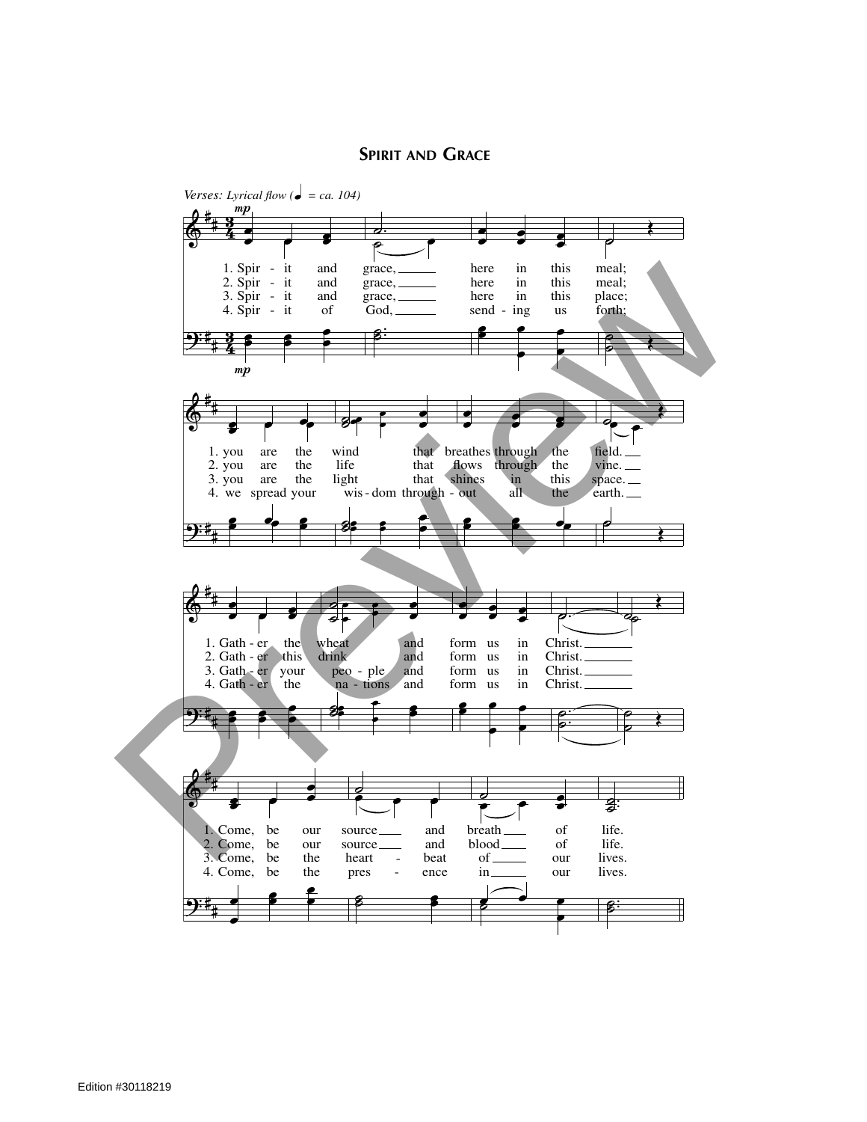## **SPIRIT AND GRACE**